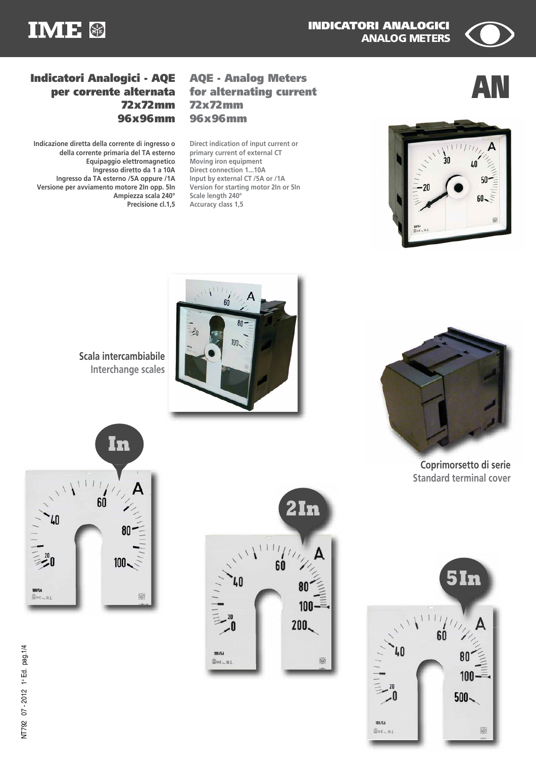



## **AQE - Analog Meters for alternating current 72x72mm 96x96mm**

**Direct indication of input current or primary current of external CT Moving iron equipment Direct connection 1...10A Input by external CT /5A or /1A Version for starting motor 2In or 5In Scale length 240° Accuracy class 1,5**

# **ANU Indicatori Analogici - AQE** AQE - Analog Meters<br>Per corrente alternata for alternating current<br>Per Person and ANU ISLAM ISLAM ISLAM ISLAM ISLAM ISLAM ISLAM ISLAM ISLAM ISLAM ISLAM ISLAM ISLAM ISLAM ISLAM I **72x72mm 96x96mm**

**Indicazione diretta della corrente di ingresso o della corrente primaria del TA esterno Equipaggio elettromagnetico Ingresso diretto da 1 a 10A Ingresso da TA esterno /5A oppure /1A Versione per avviamento motore 2In opp. 5In Ampiezza scala 240° Precisione cl.1,5**



**Scala intercambiabile Interchange scales**







**Coprimorsetto di serie Standard terminal cover**

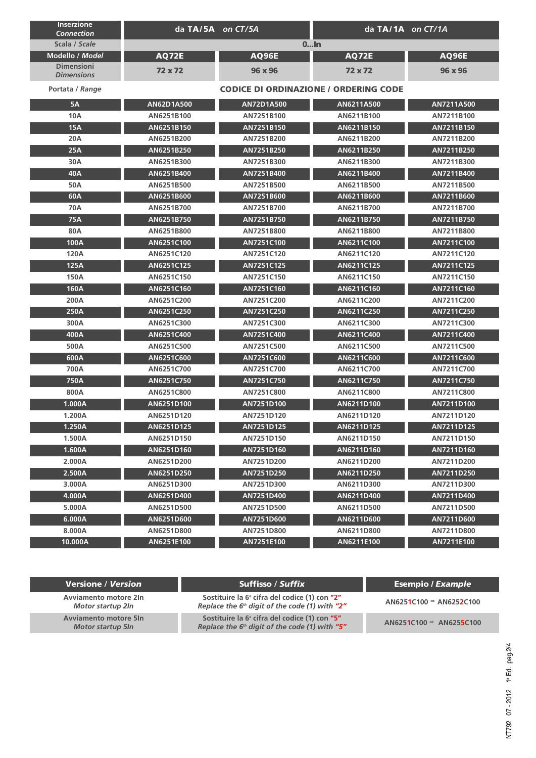| <b>Inserzione</b><br><b>Connection</b> | da $TA/5A$ on $CT/5A$ |                                              | da $TA/1A$ on $CT/1A$ |              |
|----------------------------------------|-----------------------|----------------------------------------------|-----------------------|--------------|
| Scala / Scale                          |                       | $0$ In                                       |                       |              |
| Modello / Model                        | <b>AQ72E</b>          | <b>AQ96E</b>                                 | <b>AQ72E</b>          | <b>AQ96E</b> |
| <b>Dimensioni</b><br><b>Dimensions</b> | 72 x 72               | 96 x 96                                      | 72 x 72               | 96 x 96      |
| Portata / Range                        |                       | <b>CODICE DI ORDINAZIONE / ORDERING CODE</b> |                       |              |
| <b>5A</b>                              | AN62D1A500            | AN72D1A500                                   | AN6211A500            | AN7211A500   |
| <b>10A</b>                             | AN6251B100            | AN7251B100                                   | AN6211B100            | AN7211B100   |
| <b>15A</b>                             | AN6251B150            | AN7251B150                                   | AN6211B150            | AN7211B150   |
| <b>20A</b>                             | AN6251B200            | AN7251B200                                   | AN6211B200            | AN7211B200   |
| 25A                                    | AN6251B250            | AN7251B250                                   | AN6211B250            | AN7211B250   |
| 30A                                    | AN6251B300            | AN7251B300                                   | AN6211B300            | AN7211B300   |
| 40A                                    | AN6251B400            | AN7251B400                                   | AN6211B400            | AN7211B400   |
| 50A                                    | AN6251B500            | AN7251B500                                   | AN6211B500            | AN7211B500   |
| 60A                                    | AN6251B600            | AN7251B600                                   | AN6211B600            | AN7211B600   |
| 70A                                    | AN6251B700            | AN7251B700                                   | AN6211B700            | AN7211B700   |
| 75A                                    | AN6251B750            | AN7251B750                                   | AN6211B750            | AN7211B750   |
| 80A                                    | AN6251B800            | AN7251B800                                   | AN6211B800            | AN7211B800   |
| 100A                                   | AN6251C100            | AN7251C100                                   | AN6211C100            | AN7211C100   |
| 120A                                   | AN6251C120            | AN7251C120                                   | AN6211C120            | AN7211C120   |
| 125A                                   | AN6251C125            | AN7251C125                                   | AN6211C125            | AN7211C125   |
| 150A                                   | AN6251C150            | AN7251C150                                   | AN6211C150            | AN7211C150   |
| 160A                                   | AN6251C160            | AN7251C160                                   | AN6211C160            | AN7211C160   |
| 200A                                   | AN6251C200            | AN7251C200                                   | AN6211C200            | AN7211C200   |
| 250A                                   | AN6251C250            | AN7251C250                                   | AN6211C250            | AN7211C250   |
| 300A                                   | AN6251C300            | AN7251C300                                   | AN6211C300            | AN7211C300   |
| 400A                                   | AN6251C400            | AN7251C400                                   | AN6211C400            | AN7211C400   |
| 500A                                   | AN6251C500            | AN7251C500                                   | AN6211C500            | AN7211C500   |
| 600A                                   | AN6251C600            | AN7251C600                                   | AN6211C600            | AN7211C600   |
| 700A                                   | AN6251C700            | AN7251C700                                   | AN6211C700            | AN7211C700   |
| 750A                                   | AN6251C750            | AN7251C750                                   | AN6211C750            | AN7211C750   |
| 800A                                   | AN6251C800            | AN7251C800                                   | AN6211C800            | AN7211C800   |
| 1.000A                                 | AN6251D100            | AN7251D100                                   | AN6211D100            | AN7211D100   |
| 1.200A                                 | AN6251D120            | AN7251D120                                   | AN6211D120            | AN7211D120   |
| 1.250A                                 | AN6251D125            | AN7251D125                                   | AN6211D125            | AN7211D125   |
| 1.500A                                 | AN6251D150            | AN7251D150                                   | AN6211D150            | AN7211D150   |
| 1.600A                                 | AN6251D160            | AN7251D160                                   | AN6211D160            | AN7211D160   |
| 2.000A                                 | AN6251D200            | AN7251D200                                   | AN6211D200            | AN7211D200   |
| 2.500A                                 | AN6251D250            | AN7251D250                                   | AN6211D250            | AN7211D250   |
| 3.000A                                 | AN6251D300            | AN7251D300                                   | AN6211D300            | AN7211D300   |
| 4.000A                                 | AN6251D400            | AN7251D400                                   | AN6211D400            | AN7211D400   |
| 5.000A                                 | AN6251D500            | AN7251D500                                   | AN6211D500            | AN7211D500   |
| 6.000A                                 | AN6251D600            | AN7251D600                                   | AN6211D600            | AN7211D600   |
| 8.000A                                 | AN6251D800            | AN7251D800                                   | AN6211D800            | AN7211D800   |
| 10.000A                                | AN6251E100            | AN7251E100                                   | AN6211E100            | AN7211E100   |

| <b>Versione / Version</b>                                | Suffisso / <i>Suffix</i>                                                                                      |                                     |
|----------------------------------------------------------|---------------------------------------------------------------------------------------------------------------|-------------------------------------|
| Avviamento motore 2In<br><b>Motor startup 2In</b>        | Sostituire la 6 <sup>ª</sup> cifra del codice (1) con "2"<br>Replace the $6th$ digit of the code (1) with "2" | AN6251C100 $\Rightarrow$ AN6252C100 |
| <b>Avviamento motore 5In</b><br><b>Motor startup 5In</b> | Sostituire la 6 <sup>ª</sup> cifra del codice (1) con "5"<br>Replace the $6th$ digit of the code (1) with "5" | AN6251C100 $\Rightarrow$ AN6255C100 |
|                                                          |                                                                                                               |                                     |

NT792 07 - 2012 1ª Ed. pag.2/4 NT792 07 - 2012 1a Ed. pag.2/4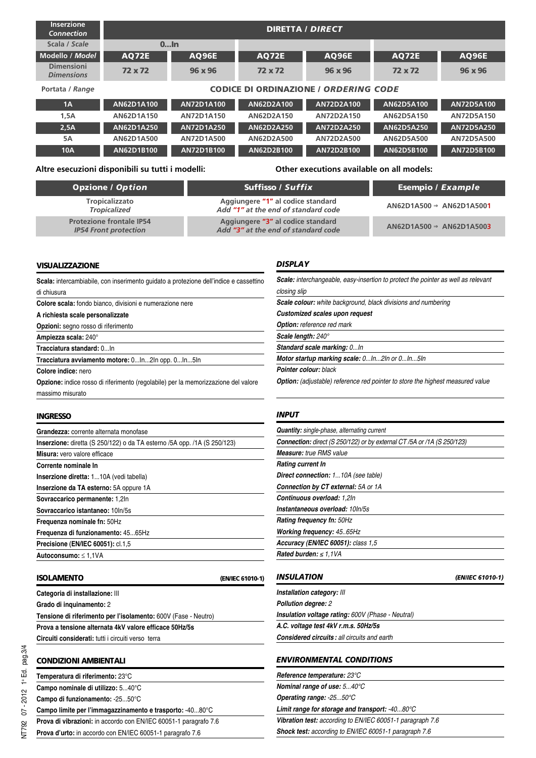| <b>Inserzione</b><br><b>Connection</b> | <b>DIRETTA / DIRECT</b>                      |              |              |              |              |              |
|----------------------------------------|----------------------------------------------|--------------|--------------|--------------|--------------|--------------|
| Scala / Scale                          |                                              | $0$ In       |              |              |              |              |
| Modello / Model                        | <b>AQ72E</b>                                 | <b>AQ96E</b> | <b>AQ72E</b> | <b>AQ96E</b> | <b>AQ72E</b> | <b>AQ96E</b> |
| <b>Dimensioni</b><br><b>Dimensions</b> | 72 x 72                                      | 96 x 96      | 72 x 72      | 96 x 96      | 72 x 72      | 96 x 96      |
| Portata / Range                        | <b>CODICE DI ORDINAZIONE / ORDERING CODE</b> |              |              |              |              |              |
| 1A                                     | AN62D1A100                                   | AN72D1A100   | AN62D2A100   | AN72D2A100   | AN62D5A100   | AN72D5A100   |
| 1.5A                                   | AN62D1A150                                   | AN72D1A150   | AN62D2A150   | AN72D2A150   | AN62D5A150   | AN72D5A150   |
| 2,5A                                   | AN62D1A250                                   | AN72D1A250   | AN62D2A250   | AN72D2A250   | AN62D5A250   | AN72D5A250   |
| 5A                                     | AN62D1A500                                   | AN72D1A500   | AN62D2A500   | AN72D2A500   | AN62D5A500   | AN72D5A500   |
| <b>10A</b>                             | AN62D1B100                                   | AN72D1B100   | AN62D2B100   | AN72D2B100   | AN62D5B100   | AN72D5B100   |

#### **Altre esecuzioni disponibili su tutti i modelli: Other executions available on all models:**

| <b>Opzione / Option</b>                                         | Suffisso / Suffix                                                        | Esempio / Example                    |
|-----------------------------------------------------------------|--------------------------------------------------------------------------|--------------------------------------|
| Tropicalizzato<br><b>Tropicalized</b>                           | Aggiungere "1" al codice standard<br>Add "1" at the end of standard code | AN62D1A500 $\Rightarrow$ AN62D1A5001 |
| <b>Protezione frontale IP54</b><br><b>IP54 Front protection</b> | Aggiungere "3" al codice standard<br>Add "3" at the end of standard code | AN62D1A500 $\Rightarrow$ AN62D1A5003 |

#### **VISUALIZZAZIONE**

**Scala:** intercambiabile, con inserimento guidato a protezione dell'indice e cassettino di chiusura

**Colore scala:** fondo bianco, divisioni e numerazione nere

**A richiesta scale personalizzate**

**Opzioni:** segno rosso di riferimento

**Ampiezza scala:** 240°

**Tracciatura standard:** 0...In

**Tracciatura avviamento motore:** 0...In...2In opp. 0...In...5In

**Colore indice:** nero

**Opzione:** indice rosso di riferimento (regolabile) per la memorizzazione del valore massimo misurato

#### **INGRESSO**

**Grandezza:** corrente alternata monofase

| <b>Inserzione:</b> diretta (S 250/122) o da TA esterno /5A opp. /1A (S 250/123) |  |  |  |
|---------------------------------------------------------------------------------|--|--|--|
| Misura: vero valore efficace                                                    |  |  |  |
| Corrente nominale In                                                            |  |  |  |
| Inserzione diretta: 110A (vedi tabella)                                         |  |  |  |
| Inserzione da TA esterno: 5A oppure 1A                                          |  |  |  |

**Sovraccarico permanente:** 1,2In

**Sovraccarico istantaneo:** 10In/5s

**Frequenza nominale fn:** 50Hz

**Frequenza di funzionamento:** 45...65Hz

**Precisione (EN/IEC 60051):** cl.1,5 **Autoconsumo:** ≤ 1,1VA

#### **ISOLAMENTO (EN/IEC 61010-1)**

|  |  | Categoria di installazione: III |
|--|--|---------------------------------|
|--|--|---------------------------------|

**Grado di inquinamento:** 2

**Tensione di riferimento per l'isolamento:** 600V (Fase - Neutro)

**Prova a tensione alternata 4kV valore efficace 50Hz/5s**

**Circuiti considerati:** tutti i circuiti verso terra

#### **CONDIZIONI AMBIENTALI**

| Temperatura di riferimento: 23°C  |  |
|-----------------------------------|--|
| Campo nominale di utilizzo: 540°C |  |

**Campo di funzionamento:** -25...50°C

**Campo limite per l'immagazzinamento e trasporto:** -40...80°C

**Prova di vibrazioni:** in accordo con EN/IEC 60051-1 paragrafo 7.6 **Prova d'urto:** in accordo con EN/IEC 60051-1 paragrafo 7.6

#### *DISPLAY*

**Scale:** interchangeable, easy-insertion to protect the pointer as well as relevant closing slip

**Scale colour:** white background, black divisions and numbering

**Customized scales upon request**

**Option:** reference red mark

**Scale length:** 240° **Standard scale marking:** 0...In

**Motor startup marking scale:** 0...In...2In or 0...In...5In

#### **Pointer colour:** black

**Option:** (adjustable) reference red pointer to store the highest measured value

#### *INPUT*

| <b>Quantity:</b> single-phase, alternating current                             |
|--------------------------------------------------------------------------------|
| <b>Connection:</b> direct (S 250/122) or by external CT /5A or /1A (S 250/123) |
| <b>Measure:</b> true RMS value                                                 |
| Rating current In                                                              |
| <b>Direct connection: 110A (see table)</b>                                     |
| <b>Connection by CT external:</b> 5A or 1A                                     |
| Continuous overload: 1,2ln                                                     |
| Instantaneous overload: 10ln/5s                                                |
| <b>Rating frequency fn: 50Hz</b>                                               |
| <b>Working frequency: 4565Hz</b>                                               |
| Accuracy (EN/IEC 60051): class 1.5                                             |
| Rated burden: $\leq 1.1 VA$                                                    |
|                                                                                |

### *INSULATION (EN/IEC 61010-1)*

| Installation category: III                               |  |
|----------------------------------------------------------|--|
| <b>Pollution degree: 2</b>                               |  |
| <b>Insulation voltage rating: 600V (Phase - Neutral)</b> |  |
| A.C. voltage test 4kV r.m.s. 50Hz/5s                     |  |
| <b>Considered circuits:</b> all circuits and earth       |  |

#### *ENVIRONMENTAL CONDITIONS*

**Reference temperature:** 23°C **Nominal range of use:** 5...40°C **Operating range:** -25...50°C **Limit range for storage and transport:** -40...80°C **Vibration test:** according to EN/IEC 60051-1 paragraph 7.6 **Shock test:** according to EN/IEC 60051-1 paragraph 7.6